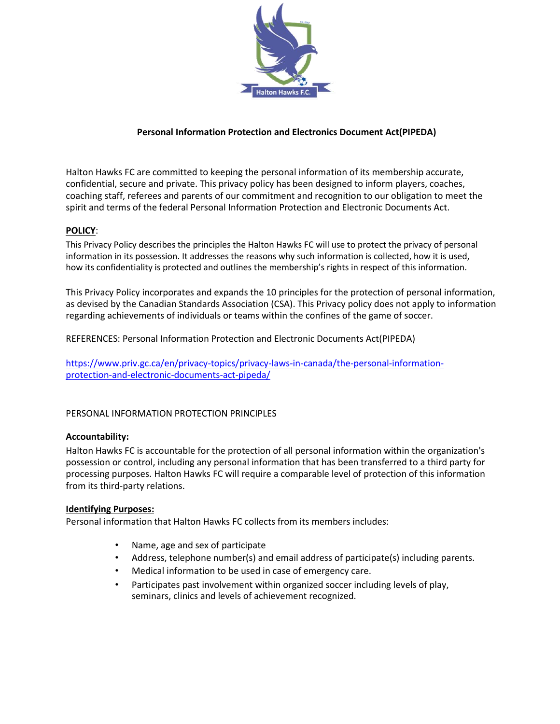

# **Personal Information Protection and Electronics Document Act(PIPEDA)**

Halton Hawks FC are committed to keeping the personal information of its membership accurate, confidential, secure and private. This privacy policy has been designed to inform players, coaches, coaching staff, referees and parents of our commitment and recognition to our obligation to meet the spirit and terms of the federal Personal Information Protection and Electronic Documents Act.

## **POLICY**:

This Privacy Policy describes the principles the Halton Hawks FC will use to protect the privacy of personal information in its possession. It addresses the reasons why such information is collected, how it is used, how its confidentiality is protected and outlines the membership's rights in respect of this information.

This Privacy Policy incorporates and expands the 10 principles for the protection of personal information, as devised by the Canadian Standards Association (CSA). This Privacy policy does not apply to information regarding achievements of individuals or teams within the confines of the game of soccer.

REFERENCES: Personal Information Protection and Electronic Documents Act(PIPEDA)

[https://www.priv.gc.ca/en/privacy-topics/privacy-laws-in-canada/the-personal-information](https://www.priv.gc.ca/en/privacy-topics/privacy-laws-in-canada/the-personal-information-protection-and-electronic-documents-act-pipeda/)[protection-and-electronic-documents-act-pipeda/](https://www.priv.gc.ca/en/privacy-topics/privacy-laws-in-canada/the-personal-information-protection-and-electronic-documents-act-pipeda/)

### PERSONAL INFORMATION PROTECTION PRINCIPLES

#### **Accountability:**

Halton Hawks FC is accountable for the protection of all personal information within the organization's possession or control, including any personal information that has been transferred to a third party for processing purposes. Halton Hawks FC will require a comparable level of protection of this information from its third-party relations.

#### **Identifying Purposes:**

Personal information that Halton Hawks FC collects from its members includes:

- Name, age and sex of participate
- Address, telephone number(s) and email address of participate(s) including parents.
- Medical information to be used in case of emergency care.
- Participates past involvement within organized soccer including levels of play, seminars, clinics and levels of achievement recognized.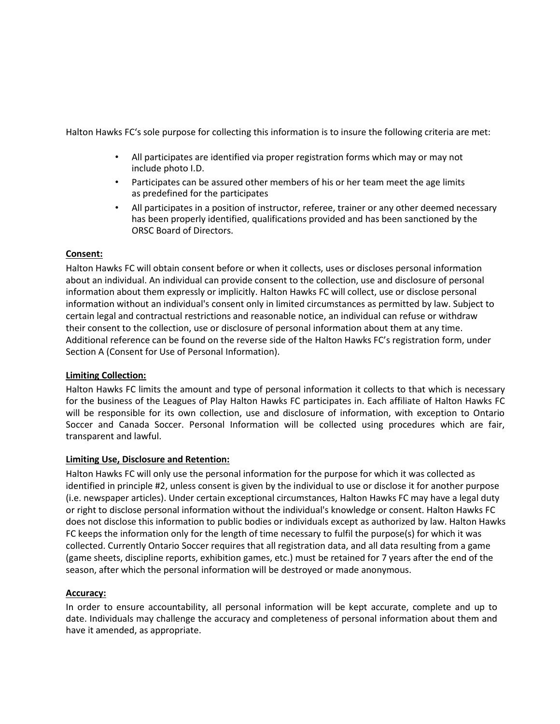Halton Hawks FC's sole purpose for collecting this information is to insure the following criteria are met:

- All participates are identified via proper registration forms which may or may not include photo I.D.
- Participates can be assured other members of his or her team meet the age limits as predefined for the participates
- All participates in a position of instructor, referee, trainer or any other deemed necessary has been properly identified, qualifications provided and has been sanctioned by the ORSC Board of Directors.

## **Consent:**

Halton Hawks FC will obtain consent before or when it collects, uses or discloses personal information about an individual. An individual can provide consent to the collection, use and disclosure of personal information about them expressly or implicitly. Halton Hawks FC will collect, use or disclose personal information without an individual's consent only in limited circumstances as permitted by law. Subject to certain legal and contractual restrictions and reasonable notice, an individual can refuse or withdraw their consent to the collection, use or disclosure of personal information about them at any time. Additional reference can be found on the reverse side of the Halton Hawks FC's registration form, under Section A (Consent for Use of Personal Information).

# **Limiting Collection:**

Halton Hawks FC limits the amount and type of personal information it collects to that which is necessary for the business of the Leagues of Play Halton Hawks FC participates in. Each affiliate of Halton Hawks FC will be responsible for its own collection, use and disclosure of information, with exception to Ontario Soccer and Canada Soccer. Personal Information will be collected using procedures which are fair, transparent and lawful.

### **Limiting Use, Disclosure and Retention:**

Halton Hawks FC will only use the personal information for the purpose for which it was collected as identified in principle #2, unless consent is given by the individual to use or disclose it for another purpose (i.e. newspaper articles). Under certain exceptional circumstances, Halton Hawks FC may have a legal duty or right to disclose personal information without the individual's knowledge or consent. Halton Hawks FC does not disclose this information to public bodies or individuals except as authorized by law. Halton Hawks FC keeps the information only for the length of time necessary to fulfil the purpose(s) for which it was collected. Currently Ontario Soccer requires that all registration data, and all data resulting from a game (game sheets, discipline reports, exhibition games, etc.) must be retained for 7 years after the end of the season, after which the personal information will be destroyed or made anonymous.

### **Accuracy:**

In order to ensure accountability, all personal information will be kept accurate, complete and up to date. Individuals may challenge the accuracy and completeness of personal information about them and have it amended, as appropriate.